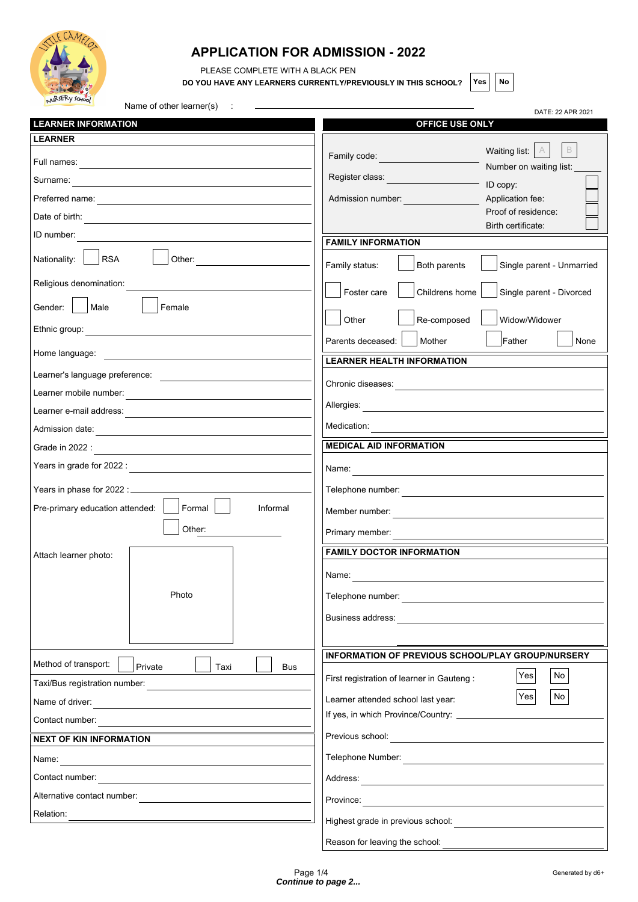

## **APPLICATION FOR ADMISSION - 2022**

PLEASE COMPLETE WITH A BLACK PEN

 $\overline{a}$ 

**DO YOU HAVE ANY LEARNERS CURRENTLY/PREVIOUSLY IN THIS SCHOOL?**  $\left| \text{Yes} \right| \left| \text{No} \right|$ 

DATE: 22 APR 2021

| Name of other learner(s) |  |  |
|--------------------------|--|--|
|--------------------------|--|--|

| <b>LEARNER INFORMATION</b>                                                                                                             | OFFICE USE ONLY                                                                                                |
|----------------------------------------------------------------------------------------------------------------------------------------|----------------------------------------------------------------------------------------------------------------|
| <b>LEARNER</b>                                                                                                                         |                                                                                                                |
|                                                                                                                                        | $\mathsf B$<br>Waiting list:<br>A<br>Family code:<br>Number on waiting list:                                   |
| Surname:<br><u> 1980 - Andrea Station, amerikansk politik (d. 1980)</u>                                                                | Register class:<br><u> 1970 - Jan Barnett, politik e</u><br>ID copy:                                           |
| Preferred name:                                                                                                                        | Admission number:<br>Application fee:                                                                          |
| Date of birth:<br><u> 1989 - Andrea Andrew Maria (h. 1989).</u>                                                                        | Proof of residence:<br>Birth certificate:                                                                      |
| ID number:                                                                                                                             | <b>FAMILY INFORMATION</b>                                                                                      |
| <b>RSA</b><br>Other:<br>Nationality:                                                                                                   | Family status:<br>Both parents<br>Single parent - Unmarried                                                    |
| Religious denomination:                                                                                                                | Foster care<br>Childrens home<br>Single parent - Divorced                                                      |
| Male<br>Gender:  <br>Female                                                                                                            | Re-composed<br>Other<br>Widow/Widower                                                                          |
| Ethnic group:                                                                                                                          | Father<br>Parents deceased:<br>Mother<br>None                                                                  |
| Home language:<br><u> 1980 - Jan Stein Stein Stein Stein Stein Stein Stein Stein Stein Stein Stein Stein Stein Stein Stein Stein S</u> | <b>LEARNER HEALTH INFORMATION</b>                                                                              |
| Learner's language preference:                                                                                                         |                                                                                                                |
| Learner mobile number:                                                                                                                 | Chronic diseases:<br>the control of the control of the control of the control of the control of the control of |
| Learner e-mail address:<br><u> 1980 - Andrea Andrew Maria (h. 1980).</u>                                                               |                                                                                                                |
| Admission date:                                                                                                                        | Medication:                                                                                                    |
| Grade in 2022 :<br><u> 1989 - Johann Stein, mars an t-Amerikaansk kommunister (</u>                                                    | <b>MEDICAL AID INFORMATION</b>                                                                                 |
|                                                                                                                                        | Name:                                                                                                          |
|                                                                                                                                        |                                                                                                                |
| Formal<br>Pre-primary education attended:<br>Informal                                                                                  | Member number:                                                                                                 |
| Other:                                                                                                                                 |                                                                                                                |
| Attach learner photo:                                                                                                                  | <b>FAMILY DOCTOR INFORMATION</b>                                                                               |
|                                                                                                                                        | Name:                                                                                                          |
| Photo                                                                                                                                  | Telephone number:                                                                                              |
|                                                                                                                                        |                                                                                                                |
|                                                                                                                                        | Business address:                                                                                              |
|                                                                                                                                        | INFORMATION OF PREVIOUS SCHOOL/PLAY GROUP/NURSERY                                                              |
| Method of transport:<br>Private<br>Taxi<br><b>Bus</b><br>Taxi/Bus registration number:                                                 | Yes<br>No<br>First registration of learner in Gauteng :                                                        |
|                                                                                                                                        | No<br>Yes<br>Learner attended school last year:                                                                |
| Name of driver:<br><u> 1989 - Andrea Station Barbara, amerikan per</u><br>Contact number:                                              | If yes, in which Province/Country: ______________                                                              |
| <b>NEXT OF KIN INFORMATION</b>                                                                                                         | Previous school: <u>__________________________</u>                                                             |
| Name:                                                                                                                                  | Telephone Number:<br><u> 1980 - Andrea Andrew Maria (h. 1980).</u>                                             |
| Contact number:<br><u> 1980 - John Stein, Amerikaansk politiker (* 1901)</u>                                                           |                                                                                                                |
| Alternative contact number:                                                                                                            | Province:                                                                                                      |
| Relation:                                                                                                                              | <u> 1980 - Jan Barat, martin amerikan ba</u><br>Highest grade in previous school:                              |
|                                                                                                                                        | Reason for leaving the school:                                                                                 |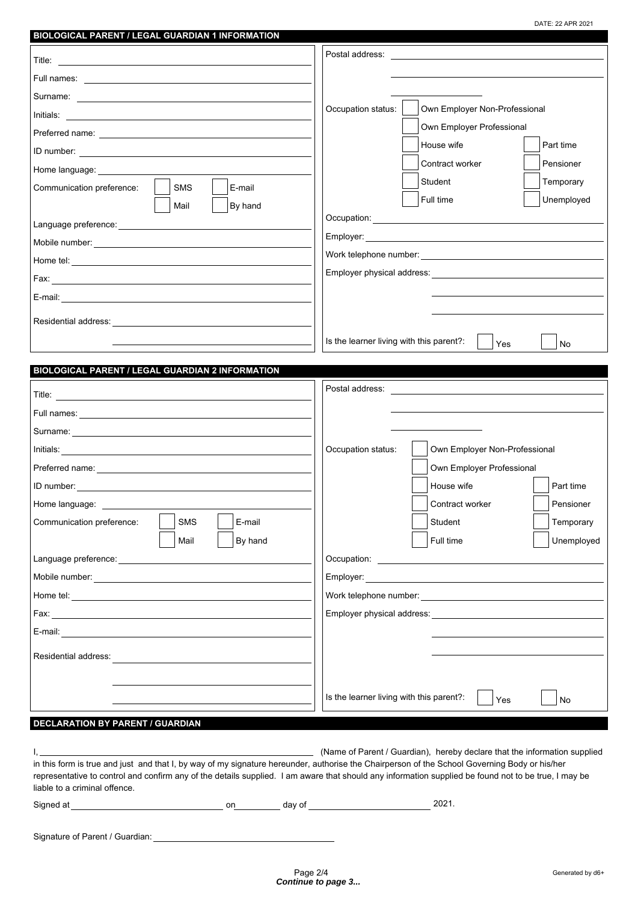DATE: 22 APR 2021

| <b>BIOLOGICAL PARENT / LEGAL GUARDIAN 1 INFORMATION</b>                                                                                                                                                                            |                                          |                                                                                                                                                                                                                                      |
|------------------------------------------------------------------------------------------------------------------------------------------------------------------------------------------------------------------------------------|------------------------------------------|--------------------------------------------------------------------------------------------------------------------------------------------------------------------------------------------------------------------------------------|
|                                                                                                                                                                                                                                    | Postal address:                          | the contract of the contract of the contract of the contract of the contract of                                                                                                                                                      |
|                                                                                                                                                                                                                                    |                                          |                                                                                                                                                                                                                                      |
|                                                                                                                                                                                                                                    |                                          |                                                                                                                                                                                                                                      |
|                                                                                                                                                                                                                                    | Occupation status:                       | Own Employer Non-Professional                                                                                                                                                                                                        |
|                                                                                                                                                                                                                                    |                                          | Own Employer Professional                                                                                                                                                                                                            |
|                                                                                                                                                                                                                                    |                                          | House wife<br>Part time                                                                                                                                                                                                              |
| Home language: ______________                                                                                                                                                                                                      |                                          | Contract worker<br>Pensioner                                                                                                                                                                                                         |
| Communication preference:<br><b>SMS</b><br>E-mail                                                                                                                                                                                  |                                          | Student<br>Temporary                                                                                                                                                                                                                 |
| Mail<br>By hand                                                                                                                                                                                                                    |                                          | Unemployed<br>Full time                                                                                                                                                                                                              |
|                                                                                                                                                                                                                                    |                                          |                                                                                                                                                                                                                                      |
|                                                                                                                                                                                                                                    |                                          |                                                                                                                                                                                                                                      |
|                                                                                                                                                                                                                                    |                                          |                                                                                                                                                                                                                                      |
|                                                                                                                                                                                                                                    |                                          |                                                                                                                                                                                                                                      |
|                                                                                                                                                                                                                                    |                                          |                                                                                                                                                                                                                                      |
|                                                                                                                                                                                                                                    |                                          |                                                                                                                                                                                                                                      |
|                                                                                                                                                                                                                                    |                                          |                                                                                                                                                                                                                                      |
|                                                                                                                                                                                                                                    | Is the learner living with this parent?: | Yes<br><b>No</b>                                                                                                                                                                                                                     |
| BIOLOGICAL PARENT / LEGAL GUARDIAN 2 INFORMATION                                                                                                                                                                                   |                                          |                                                                                                                                                                                                                                      |
|                                                                                                                                                                                                                                    | Postal address:                          | the control of the control of the control of the control of the control of the control of                                                                                                                                            |
|                                                                                                                                                                                                                                    |                                          |                                                                                                                                                                                                                                      |
| Surname: <u>experience</u> and the contract of the contract of the contract of the contract of the contract of the contract of the contract of the contract of the contract of the contract of the contract of the contract of the |                                          |                                                                                                                                                                                                                                      |
|                                                                                                                                                                                                                                    | Occupation status:                       | Own Employer Non-Professional                                                                                                                                                                                                        |
|                                                                                                                                                                                                                                    |                                          | Own Employer Professional                                                                                                                                                                                                            |
|                                                                                                                                                                                                                                    |                                          | Part time<br>House wife                                                                                                                                                                                                              |
| Home language:                                                                                                                                                                                                                     |                                          | Pensioner<br>Contract worker                                                                                                                                                                                                         |
| <b>SMS</b><br>E-mail<br>Communication preference:                                                                                                                                                                                  |                                          | Student<br>Temporary                                                                                                                                                                                                                 |
| By hand<br>Mail                                                                                                                                                                                                                    |                                          | Full time<br>Unemployed                                                                                                                                                                                                              |
| Language preference: National Canada and Canada and Canada and Canada and Canada and Canada and Canada and Canada and Canada and Canada and Canada and Canada and Canada and Canada and Canada and Canada and Canada and Canad     |                                          | Occupation: <u>with a series of the series of the series of the series of the series of the series of the series of the series of the series of the series of the series of the series of the series of the series of the series</u> |
|                                                                                                                                                                                                                                    |                                          |                                                                                                                                                                                                                                      |
|                                                                                                                                                                                                                                    |                                          |                                                                                                                                                                                                                                      |
|                                                                                                                                                                                                                                    |                                          |                                                                                                                                                                                                                                      |
|                                                                                                                                                                                                                                    |                                          |                                                                                                                                                                                                                                      |
|                                                                                                                                                                                                                                    |                                          |                                                                                                                                                                                                                                      |
| Residential address:                                                                                                                                                                                                               |                                          |                                                                                                                                                                                                                                      |
|                                                                                                                                                                                                                                    |                                          |                                                                                                                                                                                                                                      |
|                                                                                                                                                                                                                                    | Is the learner living with this parent?: | Yes<br>No                                                                                                                                                                                                                            |
| <b>DECLARATION BY PARENT / GUARDIAN</b>                                                                                                                                                                                            |                                          |                                                                                                                                                                                                                                      |
|                                                                                                                                                                                                                                    |                                          |                                                                                                                                                                                                                                      |

|                                                                                                                                               | (Name of Parent / Guardian), hereby declare that the information supplied                                                                            |
|-----------------------------------------------------------------------------------------------------------------------------------------------|------------------------------------------------------------------------------------------------------------------------------------------------------|
| in this form is true and just and that I, by way of my signature hereunder, authorise the Chairperson of the School Governing Body or his/her |                                                                                                                                                      |
|                                                                                                                                               | representative to control and confirm any of the details supplied. I am aware that should any information supplied be found not to be true, I may be |
| liable to a criminal offence.                                                                                                                 |                                                                                                                                                      |
|                                                                                                                                               |                                                                                                                                                      |

Signed at **on** day of 2021.

Signature of Parent / Guardian: \_\_\_\_\_\_\_\_\_\_\_\_\_\_\_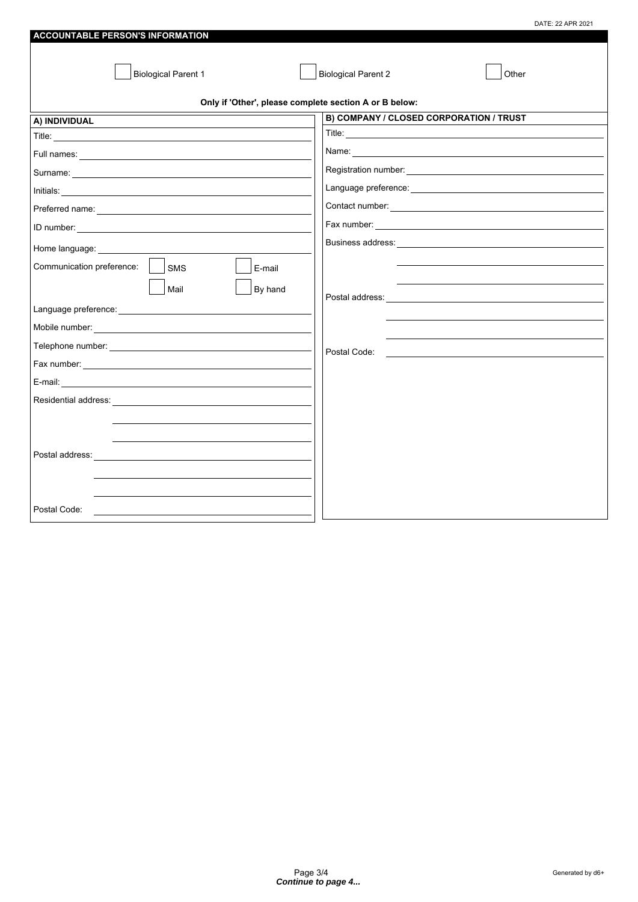|                                                        | DATE: 22 APR 2021                                                                                                                    |
|--------------------------------------------------------|--------------------------------------------------------------------------------------------------------------------------------------|
| <b>ACCOUNTABLE PERSON'S INFORMATION</b>                |                                                                                                                                      |
| <b>Biological Parent 1</b>                             | <b>Biological Parent 2</b><br>Other                                                                                                  |
| Only if 'Other', please complete section A or B below: |                                                                                                                                      |
| A) INDIVIDUAL                                          | B) COMPANY / CLOSED CORPORATION / TRUST                                                                                              |
|                                                        |                                                                                                                                      |
|                                                        |                                                                                                                                      |
|                                                        |                                                                                                                                      |
|                                                        |                                                                                                                                      |
|                                                        |                                                                                                                                      |
|                                                        |                                                                                                                                      |
| Home language: Nome language:                          |                                                                                                                                      |
| Communication preference:<br>SMS<br>E-mail             |                                                                                                                                      |
| Mail<br>By hand                                        |                                                                                                                                      |
|                                                        |                                                                                                                                      |
|                                                        |                                                                                                                                      |
|                                                        |                                                                                                                                      |
|                                                        | Postal Code:<br><u> Alexandria de la contrada de la contrada de la contrada de la contrada de la contrada de la contrada de la c</u> |
|                                                        |                                                                                                                                      |
| E-mail:                                                |                                                                                                                                      |
|                                                        |                                                                                                                                      |
|                                                        |                                                                                                                                      |
|                                                        |                                                                                                                                      |
|                                                        |                                                                                                                                      |
| Postal Code:                                           |                                                                                                                                      |